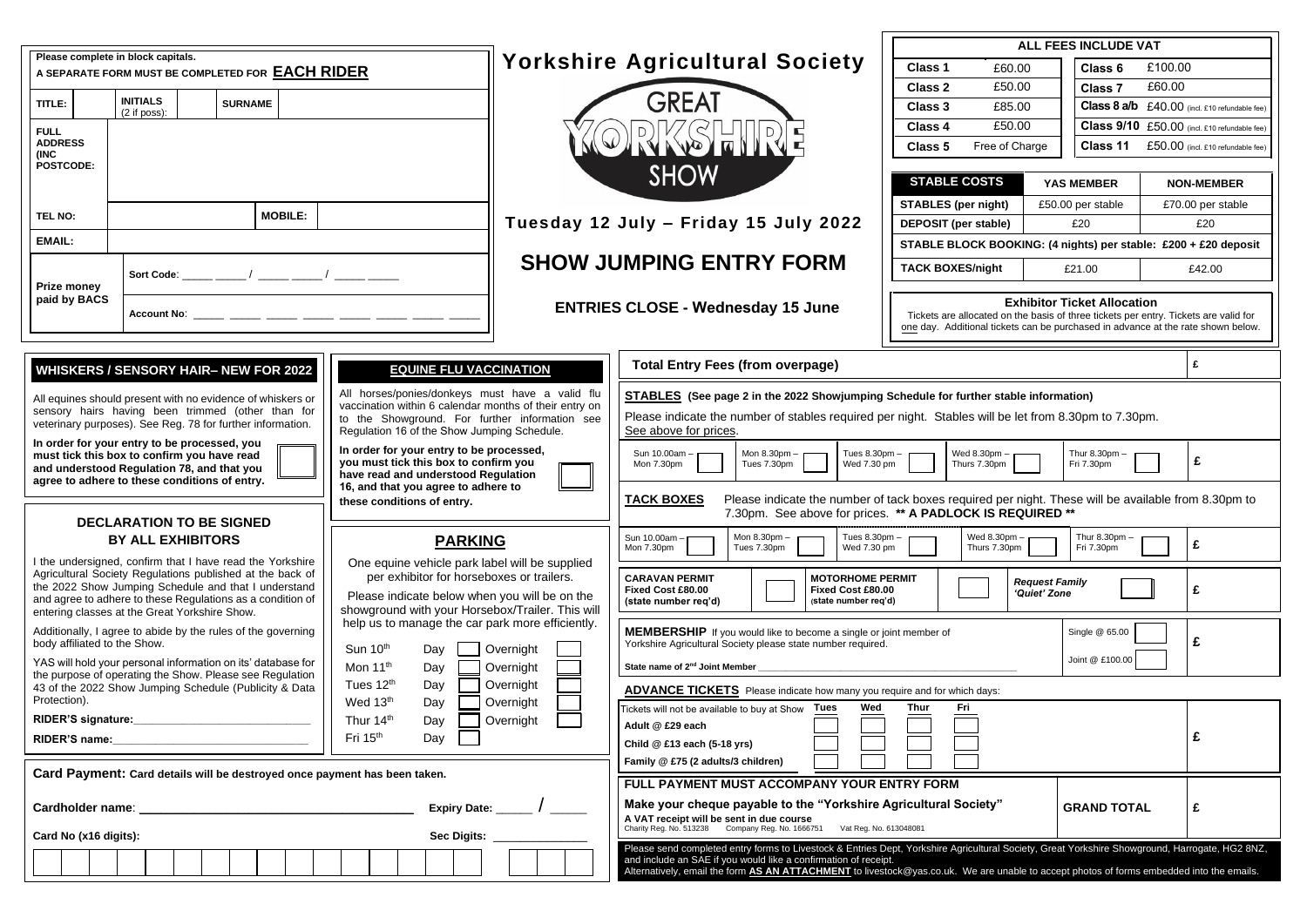|                                                                                                                                                                                                                                    |                                                     |  |                                                |                                                                                                                                           |                                                                                                                                                                                                    |                                       |              |                                                                         |                                                                                                                                    |                                                                                                                                                                        | ALL FEES INCLUDE VAT                                                                                                                                                                                                                                                                                                                                          |                                             |                                                                                                                                                                                                                |                             |                                               |                                              |   |
|------------------------------------------------------------------------------------------------------------------------------------------------------------------------------------------------------------------------------------|-----------------------------------------------------|--|------------------------------------------------|-------------------------------------------------------------------------------------------------------------------------------------------|----------------------------------------------------------------------------------------------------------------------------------------------------------------------------------------------------|---------------------------------------|--------------|-------------------------------------------------------------------------|------------------------------------------------------------------------------------------------------------------------------------|------------------------------------------------------------------------------------------------------------------------------------------------------------------------|---------------------------------------------------------------------------------------------------------------------------------------------------------------------------------------------------------------------------------------------------------------------------------------------------------------------------------------------------------------|---------------------------------------------|----------------------------------------------------------------------------------------------------------------------------------------------------------------------------------------------------------------|-----------------------------|-----------------------------------------------|----------------------------------------------|---|
| Please complete in block capitals.<br>A SEPARATE FORM MUST BE COMPLETED FOR <b>EACH RIDER</b>                                                                                                                                      |                                                     |  |                                                |                                                                                                                                           |                                                                                                                                                                                                    | <b>Yorkshire Agricultural Society</b> |              |                                                                         |                                                                                                                                    | Class 1                                                                                                                                                                |                                                                                                                                                                                                                                                                                                                                                               | £60.00                                      | Class 6                                                                                                                                                                                                        | £100.00                     |                                               |                                              |   |
|                                                                                                                                                                                                                                    |                                                     |  |                                                |                                                                                                                                           |                                                                                                                                                                                                    |                                       |              |                                                                         |                                                                                                                                    | <b>Class 2</b>                                                                                                                                                         |                                                                                                                                                                                                                                                                                                                                                               | £50.00                                      | <b>Class 7</b>                                                                                                                                                                                                 | £60.00                      |                                               |                                              |   |
| TITLE:                                                                                                                                                                                                                             | <b>INITIALS</b><br><b>SURNAME</b><br>$(2$ if poss): |  |                                                |                                                                                                                                           |                                                                                                                                                                                                    |                                       | <b>GREAT</b> |                                                                         |                                                                                                                                    | <b>Class 3</b>                                                                                                                                                         |                                                                                                                                                                                                                                                                                                                                                               | £85.00                                      |                                                                                                                                                                                                                |                             | Class 8 a/b £40.00 (incl. £10 refundable fee) |                                              |   |
| <b>FULL</b>                                                                                                                                                                                                                        |                                                     |  |                                                |                                                                                                                                           |                                                                                                                                                                                                    |                                       | RKSHIRE      |                                                                         |                                                                                                                                    |                                                                                                                                                                        | <b>Class 4</b>                                                                                                                                                                                                                                                                                                                                                |                                             | £50.00                                                                                                                                                                                                         |                             |                                               | Class 9/10 £50.00 (incl. £10 refundable fee) |   |
| <b>ADDRESS</b><br>(INC<br><b>POSTCODE:</b>                                                                                                                                                                                         |                                                     |  |                                                |                                                                                                                                           |                                                                                                                                                                                                    |                                       |              |                                                                         |                                                                                                                                    |                                                                                                                                                                        |                                                                                                                                                                                                                                                                                                                                                               | Free of Charge<br>Class 11<br>Class 5       |                                                                                                                                                                                                                |                             |                                               | $£50.00$ (incl. £10 refundable fee)          |   |
|                                                                                                                                                                                                                                    |                                                     |  |                                                |                                                                                                                                           |                                                                                                                                                                                                    |                                       |              |                                                                         |                                                                                                                                    |                                                                                                                                                                        | <b>SHOW</b>                                                                                                                                                                                                                                                                                                                                                   | <b>STABLE COSTS</b>                         |                                                                                                                                                                                                                |                             |                                               |                                              |   |
|                                                                                                                                                                                                                                    |                                                     |  |                                                |                                                                                                                                           |                                                                                                                                                                                                    |                                       |              |                                                                         |                                                                                                                                    |                                                                                                                                                                        |                                                                                                                                                                                                                                                                                                                                                               |                                             |                                                                                                                                                                                                                |                             | <b>YAS MEMBER</b>                             | <b>NON-MEMBER</b>                            |   |
| <b>TEL NO:</b>                                                                                                                                                                                                                     | <b>MOBILE:</b>                                      |  |                                                |                                                                                                                                           |                                                                                                                                                                                                    |                                       |              |                                                                         |                                                                                                                                    |                                                                                                                                                                        | <b>STABLES (per night)</b><br>£50.00 per stable<br><b>DEPOSIT</b> (per stable)<br>£20                                                                                                                                                                                                                                                                         |                                             |                                                                                                                                                                                                                |                             |                                               | £70.00 per stable                            |   |
| <b>EMAIL:</b>                                                                                                                                                                                                                      |                                                     |  |                                                |                                                                                                                                           |                                                                                                                                                                                                    |                                       |              | Tuesday 12 July - Friday 15 July 2022                                   |                                                                                                                                    |                                                                                                                                                                        |                                                                                                                                                                                                                                                                                                                                                               | £20                                         |                                                                                                                                                                                                                |                             |                                               |                                              |   |
|                                                                                                                                                                                                                                    |                                                     |  |                                                |                                                                                                                                           |                                                                                                                                                                                                    |                                       |              |                                                                         |                                                                                                                                    | <b>SHOW JUMPING ENTRY FORM</b>                                                                                                                                         | STABLE BLOCK BOOKING: (4 nights) per stable: £200 + £20 deposit                                                                                                                                                                                                                                                                                               |                                             |                                                                                                                                                                                                                |                             |                                               |                                              |   |
| <b>Prize money</b>                                                                                                                                                                                                                 |                                                     |  |                                                |                                                                                                                                           |                                                                                                                                                                                                    |                                       |              |                                                                         |                                                                                                                                    |                                                                                                                                                                        |                                                                                                                                                                                                                                                                                                                                                               | <b>TACK BOXES/night</b><br>£42.00<br>£21.00 |                                                                                                                                                                                                                |                             |                                               |                                              |   |
| paid by BACS<br>Account No: _____ ____ ____ _____ _____                                                                                                                                                                            |                                                     |  |                                                |                                                                                                                                           |                                                                                                                                                                                                    |                                       |              | <b>ENTRIES CLOSE - Wednesday 15 June</b>                                |                                                                                                                                    |                                                                                                                                                                        |                                                                                                                                                                                                                                                                                                                                                               |                                             | <b>Exhibitor Ticket Allocation</b><br>Tickets are allocated on the basis of three tickets per entry. Tickets are valid for<br>one day. Additional tickets can be purchased in advance at the rate shown below. |                             |                                               |                                              |   |
|                                                                                                                                                                                                                                    | <b>WHISKERS / SENSORY HAIR- NEW FOR 2022</b>        |  |                                                |                                                                                                                                           |                                                                                                                                                                                                    | <b>EQUINE FLU VACCINATION</b>         |              |                                                                         |                                                                                                                                    |                                                                                                                                                                        | <b>Total Entry Fees (from overpage)</b>                                                                                                                                                                                                                                                                                                                       |                                             |                                                                                                                                                                                                                |                             |                                               |                                              | £ |
|                                                                                                                                                                                                                                    |                                                     |  |                                                |                                                                                                                                           |                                                                                                                                                                                                    |                                       |              | All horses/ponies/donkeys must have a valid flu                         |                                                                                                                                    |                                                                                                                                                                        | <b>STABLES</b> (See page 2 in the 2022 Showjumping Schedule for further stable information)                                                                                                                                                                                                                                                                   |                                             |                                                                                                                                                                                                                |                             |                                               |                                              |   |
| All equines should present with no evidence of whiskers or<br>sensory hairs having been trimmed (other than for<br>veterinary purposes). See Reg. 78 for further information.                                                      |                                                     |  |                                                | vaccination within 6 calendar months of their entry on<br>to the Showground. For further information see                                  |                                                                                                                                                                                                    |                                       |              |                                                                         |                                                                                                                                    | Please indicate the number of stables required per night. Stables will be let from 8.30pm to 7.30pm.                                                                   |                                                                                                                                                                                                                                                                                                                                                               |                                             |                                                                                                                                                                                                                |                             |                                               |                                              |   |
|                                                                                                                                                                                                                                    |                                                     |  |                                                | Regulation 16 of the Show Jumping Schedule.                                                                                               |                                                                                                                                                                                                    |                                       |              |                                                                         |                                                                                                                                    |                                                                                                                                                                        | See above for prices.                                                                                                                                                                                                                                                                                                                                         |                                             |                                                                                                                                                                                                                |                             |                                               |                                              |   |
| In order for your entry to be processed, you<br>must tick this box to confirm you have read<br>and understood Regulation 78, and that you                                                                                          |                                                     |  |                                                | In order for your entry to be processed,<br>you must tick this box to confirm you<br>have read and understood Regulation                  |                                                                                                                                                                                                    |                                       |              |                                                                         |                                                                                                                                    | Sun 10.00am -<br>Mon 8.30pm -<br>Tues 8.30pm -<br>Tues 7.30pm<br>Wed 7.30 pm<br>Mon 7.30pm                                                                             |                                                                                                                                                                                                                                                                                                                                                               | Wed 8.30pm -<br>Thurs 7.30pm                |                                                                                                                                                                                                                | Thur 8.30pm -<br>Fri 7.30pm |                                               | £                                            |   |
| agree to adhere to these conditions of entry.                                                                                                                                                                                      |                                                     |  |                                                |                                                                                                                                           | 16, and that you agree to adhere to<br>these conditions of entry.                                                                                                                                  |                                       |              |                                                                         |                                                                                                                                    |                                                                                                                                                                        | <b>TACK BOXES</b><br>Please indicate the number of tack boxes required per night. These will be available from 8.30pm to<br>7.30pm. See above for prices. ** A PADLOCK IS REQUIRED **                                                                                                                                                                         |                                             |                                                                                                                                                                                                                |                             |                                               |                                              |   |
| <b>DECLARATION TO BE SIGNED</b><br><b>BY ALL EXHIBITORS</b>                                                                                                                                                                        |                                                     |  |                                                | <b>PARKING</b>                                                                                                                            |                                                                                                                                                                                                    |                                       |              |                                                                         |                                                                                                                                    | Thur 8.30pm -<br>Tues 8.30pm -<br>Wed 8.30pm -<br>Sun $10.00$ am -<br>Mon $8.30$ pm $-$<br>£<br>Fri 7.30pm<br>Wed 7.30 pm<br>Thurs 7.30pm<br>Mon 7.30pm<br>Tues 7.30pm |                                                                                                                                                                                                                                                                                                                                                               |                                             |                                                                                                                                                                                                                |                             |                                               |                                              |   |
| I the undersigned, confirm that I have read the Yorkshire<br>Agricultural Society Regulations published at the back of                                                                                                             |                                                     |  | One equine vehicle park label will be supplied |                                                                                                                                           |                                                                                                                                                                                                    |                                       |              |                                                                         |                                                                                                                                    |                                                                                                                                                                        |                                                                                                                                                                                                                                                                                                                                                               |                                             |                                                                                                                                                                                                                |                             |                                               |                                              |   |
| the 2022 Show Jumping Schedule and that I understand<br>and agree to adhere to these Regulations as a condition of<br>entering classes at the Great Yorkshire Show.                                                                |                                                     |  |                                                |                                                                                                                                           | per exhibitor for horseboxes or trailers.<br>Please indicate below when you will be on the<br>showground with your Horsebox/Trailer. This will<br>help us to manage the car park more efficiently. |                                       |              |                                                                         |                                                                                                                                    |                                                                                                                                                                        | <b>CARAVAN PERMIT</b><br><b>MOTORHOME PERMIT</b><br>Fixed Cost £80.00<br>Fixed Cost £80.00<br>(state number req'd)<br>(state number req'd)                                                                                                                                                                                                                    | <b>Request Family</b><br>£<br>'Quiet' Zone  |                                                                                                                                                                                                                |                             |                                               |                                              |   |
| Additionally, I agree to abide by the rules of the governing                                                                                                                                                                       |                                                     |  |                                                |                                                                                                                                           |                                                                                                                                                                                                    |                                       |              |                                                                         |                                                                                                                                    | MEMBERSHIP If you would like to become a single or joint member of                                                                                                     |                                                                                                                                                                                                                                                                                                                                                               |                                             | Single @ 65.00                                                                                                                                                                                                 |                             |                                               |                                              |   |
| body affiliated to the Show.<br>YAS will hold your personal information on its' database for<br>the purpose of operating the Show. Please see Regulation<br>43 of the 2022 Show Jumping Schedule (Publicity & Data<br>Protection). |                                                     |  |                                                | Sun 10th<br>Overnight<br>Day<br>Mon 11 <sup>th</sup><br>Overnight<br>Day<br>Tues 12th<br>Overnight<br>Day<br>Wed 13th<br>Day<br>Overnight |                                                                                                                                                                                                    |                                       |              |                                                                         |                                                                                                                                    | Yorkshire Agricultural Society please state number required.<br>Joint @ £100.00<br>State name of 2 <sup>nd</sup> Joint Member                                          |                                                                                                                                                                                                                                                                                                                                                               |                                             |                                                                                                                                                                                                                |                             |                                               | £                                            |   |
|                                                                                                                                                                                                                                    |                                                     |  |                                                |                                                                                                                                           |                                                                                                                                                                                                    |                                       |              |                                                                         |                                                                                                                                    |                                                                                                                                                                        |                                                                                                                                                                                                                                                                                                                                                               |                                             |                                                                                                                                                                                                                |                             |                                               |                                              |   |
|                                                                                                                                                                                                                                    |                                                     |  |                                                |                                                                                                                                           |                                                                                                                                                                                                    |                                       |              |                                                                         |                                                                                                                                    |                                                                                                                                                                        | <b>ADVANCE TICKETS</b> Please indicate how many you require and for which days:<br>Wed<br><b>Thur</b><br>Tickets will not be available to buy at Show Tues<br>Fri                                                                                                                                                                                             |                                             |                                                                                                                                                                                                                |                             |                                               |                                              |   |
| Thur 14 <sup>th</sup>                                                                                                                                                                                                              |                                                     |  |                                                |                                                                                                                                           | Day<br>Overnight                                                                                                                                                                                   |                                       |              |                                                                         |                                                                                                                                    |                                                                                                                                                                        | Adult @ £29 each                                                                                                                                                                                                                                                                                                                                              |                                             |                                                                                                                                                                                                                |                             |                                               |                                              |   |
| Fri 15 <sup>th</sup><br>RIDER'S name:                                                                                                                                                                                              |                                                     |  |                                                | Day                                                                                                                                       |                                                                                                                                                                                                    |                                       |              |                                                                         |                                                                                                                                    | £<br>Child $@$ £13 each (5-18 yrs)                                                                                                                                     |                                                                                                                                                                                                                                                                                                                                                               |                                             |                                                                                                                                                                                                                |                             |                                               |                                              |   |
|                                                                                                                                                                                                                                    |                                                     |  |                                                |                                                                                                                                           |                                                                                                                                                                                                    |                                       |              |                                                                         | Family @ £75 (2 adults/3 children)                                                                                                 |                                                                                                                                                                        |                                                                                                                                                                                                                                                                                                                                                               |                                             |                                                                                                                                                                                                                |                             |                                               |                                              |   |
| Card Payment: Card details will be destroyed once payment has been taken.                                                                                                                                                          |                                                     |  |                                                |                                                                                                                                           |                                                                                                                                                                                                    |                                       |              | FULL PAYMENT MUST ACCOMPANY YOUR ENTRY FORM                             |                                                                                                                                    |                                                                                                                                                                        |                                                                                                                                                                                                                                                                                                                                                               |                                             |                                                                                                                                                                                                                |                             |                                               |                                              |   |
| <b>Expiry Date:</b>                                                                                                                                                                                                                |                                                     |  |                                                |                                                                                                                                           |                                                                                                                                                                                                    |                                       |              |                                                                         | Make your cheque payable to the "Yorkshire Agricultural Society"<br><b>GRAND TOTAL</b><br>A VAT receipt will be sent in due course |                                                                                                                                                                        |                                                                                                                                                                                                                                                                                                                                                               |                                             | £                                                                                                                                                                                                              |                             |                                               |                                              |   |
| <b>Sec Digits:</b><br>Card No (x16 digits):                                                                                                                                                                                        |                                                     |  |                                                |                                                                                                                                           |                                                                                                                                                                                                    |                                       |              | Charity Reg. No. 513238 Company Reg. No. 1666751 Vat Reg. No. 613048081 |                                                                                                                                    |                                                                                                                                                                        |                                                                                                                                                                                                                                                                                                                                                               |                                             |                                                                                                                                                                                                                |                             |                                               |                                              |   |
|                                                                                                                                                                                                                                    |                                                     |  |                                                |                                                                                                                                           |                                                                                                                                                                                                    |                                       |              |                                                                         |                                                                                                                                    |                                                                                                                                                                        | Please send completed entry forms to Livestock & Entries Dept, Yorkshire Agricultural Society, Great Yorkshire Showground, Harrogate, HG2 8NZ,<br>and include an SAE if you would like a confirmation of receipt.<br>Alternatively, email the form AS AN ATTACHMENT to livestock@yas.co.uk. We are unable to accept photos of forms embedded into the emails. |                                             |                                                                                                                                                                                                                |                             |                                               |                                              |   |